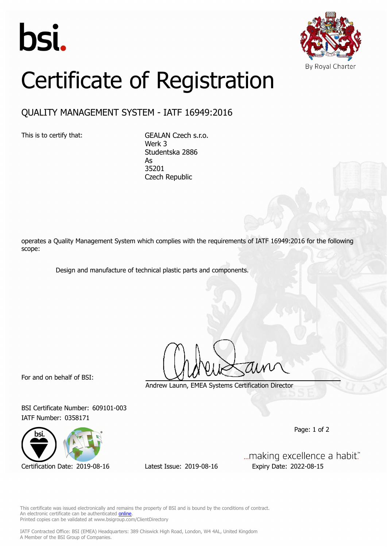



## Certificate of Registration

## QUALITY MANAGEMENT SYSTEM - IATF 16949:2016

This is to certify that: GEALAN Czech s.r.o. Werk 3 Studentska 2886 As 35201 Czech Republic

operates a Quality Management System which complies with the requirements of IATF 16949:2016 for the following scope:

Design and manufacture of technical plastic parts and components.

For and on behalf of BSI:

Andrew Launn, EMEA Systems Certification Director

BSI Certificate Number: 609101-003 IATF Number: 0358171



Certification Date: 2019-08-16 Latest Issue: 2019-08-16 Expiry Date: 2022-08-15

... making excellence a habit."

Page: 1 of 2

This certificate was issued electronically and remains the property of BSI and is bound by the conditions of contract. An electronic certificate can be authenticated **[online](https://pgplus.bsigroup.com/CertificateValidation/CertificateValidator.aspx?CertificateNumber=TS+609101-003&ReIssueDate=16%2f08%2f2019&Template=cemea_en)** Printed copies can be validated at www.bsigroup.com/ClientDirectory

IATF Contracted Office: BSI (EMEA) Headquarters: 389 Chiswick High Road, London, W4 4AL, United Kingdom A Member of the BSI Group of Companies.